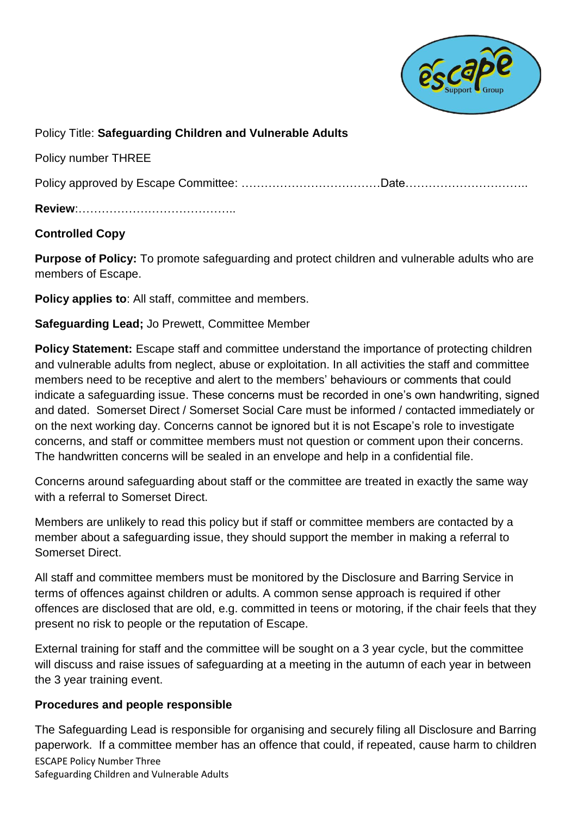

Policy Title: **Safeguarding Children and Vulnerable Adults**

Policy number THREE

Policy approved by Escape Committee: ………………………………Date…………………………..

**Review**:…………………………………..

## **Controlled Copy**

**Purpose of Policy:** To promote safeguarding and protect children and vulnerable adults who are members of Escape.

**Policy applies to**: All staff, committee and members.

**Safeguarding Lead;** Jo Prewett, Committee Member

**Policy Statement:** Escape staff and committee understand the importance of protecting children and vulnerable adults from neglect, abuse or exploitation. In all activities the staff and committee members need to be receptive and alert to the members' behaviours or comments that could indicate a safeguarding issue. These concerns must be recorded in one's own handwriting, signed and dated. Somerset Direct / Somerset Social Care must be informed / contacted immediately or on the next working day. Concerns cannot be ignored but it is not Escape's role to investigate concerns, and staff or committee members must not question or comment upon their concerns. The handwritten concerns will be sealed in an envelope and help in a confidential file.

Concerns around safeguarding about staff or the committee are treated in exactly the same way with a referral to Somerset Direct.

Members are unlikely to read this policy but if staff or committee members are contacted by a member about a safeguarding issue, they should support the member in making a referral to Somerset Direct.

All staff and committee members must be monitored by the Disclosure and Barring Service in terms of offences against children or adults. A common sense approach is required if other offences are disclosed that are old, e.g. committed in teens or motoring, if the chair feels that they present no risk to people or the reputation of Escape.

External training for staff and the committee will be sought on a 3 year cycle, but the committee will discuss and raise issues of safeguarding at a meeting in the autumn of each year in between the 3 year training event.

## **Procedures and people responsible**

ESCAPE Policy Number Three Safeguarding Children and Vulnerable Adults The Safeguarding Lead is responsible for organising and securely filing all Disclosure and Barring paperwork. If a committee member has an offence that could, if repeated, cause harm to children